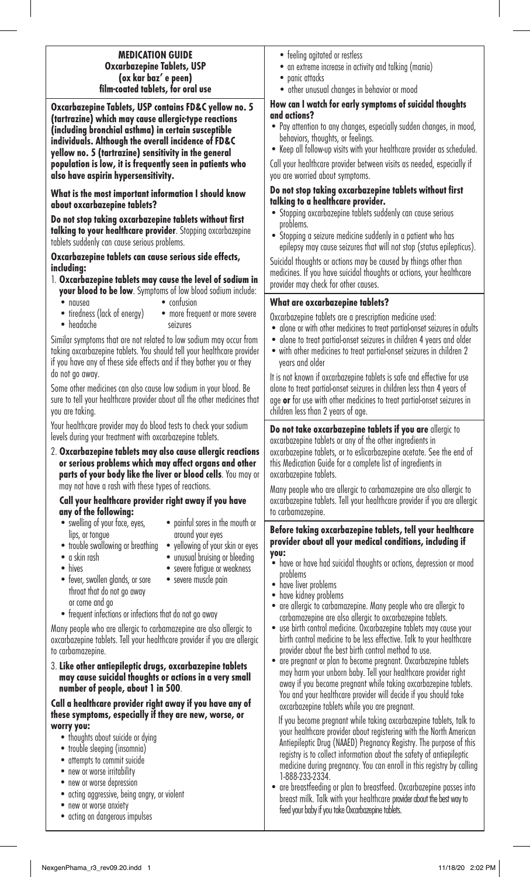## **MEDICATION GUIDE Oxcarbazepine Tablets, USP (ox kar baz' e peen) film-coated tablets, for oral use**

**Oxcarbazepine Tablets, USP contains FD&C yellow no. 5 (tartrazine) which may cause allergic-type reactions (including bronchial asthma) in certain susceptible individuals. Although the overall incidence of FD&C yellow no. 5 (tartrazine) sensitivity in the general population is low, it is frequently seen in patients who also have aspirin hypersensitivity.**

**What is the most important information I should know about oxcarbazepine tablets?**

**Do not stop taking oxcarbazepine tablets without first talking to your healthcare provider**. Stopping oxcarbazepine tablets suddenly can cause serious problems.

**Oxcarbazepine tablets can cause serious side effects, including:**

#### 1. **Oxcarbazepine tablets may cause the level of sodium in your blood to be low**. Symptoms of low blood sodium include:

- 
- nausea confusion
- tiredness (lack of energy)
- headache seizures

Similar symptoms that are not related to low sodium may occur from taking oxcarbazepine tablets. You should tell your healthcare provider if you have any of these side effects and if they bother you or they do not go away.

Some other medicines can also cause low sodium in your blood. Be sure to tell your healthcare provider about all the other medicines that you are taking.

Your healthcare provider may do blood tests to check your sodium levels during your treatment with oxcarbazepine tablets.

2. **Oxcarbazepine tablets may also cause allergic reactions or serious problems which may affect organs and other parts of your body like the liver or blood cells**. You may or may not have a rash with these types of reactions.

# **Call your healthcare provider right away if you have any of the following:**

- lips, or tongue around your eyes
- trouble swallowing or breathing yellowing of your skin or eyes
	-
- 
- a skin rash unusual bruising or bleeding

• painful sores in the mouth or

- severe fatigue or weakness
- fever, swollen glands, or sore throat that do not go away or come and go
- frequent infections or infections that do not go away

Many people who are allergic to carbamazepine are also allergic to oxcarbazepine tablets. Tell your healthcare provider if you are allergic to carbamazepine.

3. **Like other antiepileptic drugs, oxcarbazepine tablets may cause suicidal thoughts or actions in a very small number of people, about 1 in 500**.

#### **Call a healthcare provider right away if you have any of these symptoms, especially if they are new, worse, or worry you:**

- thoughts about suicide or dying
- trouble sleeping (insomnia)
- attempts to commit suicide
- new or worse irritability
- new or worse depression
- acting aggressive, being angry, or violent
- new or worse anxiety
- acting on dangerous impulses
- feeling agitated or restless
- an extreme increase in activity and talking (mania)
- panic attacks
- other unusual changes in behavior or mood

# **How can I watch for early symptoms of suicidal thoughts and actions?**

- Pay attention to any changes, especially sudden changes, in mood, behaviors, thoughts, or feelings.
- Keep all follow-up visits with your healthcare provider as scheduled. Call your healthcare provider between visits as needed, especially if

you are worried about symptoms.

# **Do not stop taking oxcarbazepine tablets without first talking to a healthcare provider.**

- Stopping oxcarbazepine tablets suddenly can cause serious problems.
- Stopping a seizure medicine suddenly in a patient who has epilepsy may cause seizures that will not stop (status epilepticus).

Suicidal thoughts or actions may be caused by things other than medicines. If you have suicidal thoughts or actions, your healthcare provider may check for other causes.

# **What are oxcarbazepine tablets?**

Oxcarbazepine tablets are a prescription medicine used:

- alone or with other medicines to treat partial-onset seizures in adults
- alone to treat partial-onset seizures in children 4 years and older
- with other medicines to treat partial-onset seizures in children 2 years and older

It is not known if oxcarbazepine tablets is safe and effective for use alone to treat partial-onset seizures in children less than 4 years of age **or** for use with other medicines to treat partial-onset seizures in children less than 2 years of age.

**Do not take oxcarbazepine tablets if you are** allergic to oxcarbazepine tablets or any of the other ingredients in oxcarbazepine tablets, or to eslicarbazepine acetate. See the end of this Medication Guide for a complete list of ingredients in oxcarbazepine tablets.

Many people who are allergic to carbamazepine are also allergic to oxcarbazepine tablets. Tell your healthcare provider if you are allergic to carbamazepine.

#### **Before taking oxcarbazepine tablets, tell your healthcare provider about all your medical conditions, including if you:**

- have or have had suicidal thoughts or actions, depression or mood problems
- have liver problems
- have kidney problems
- are allergic to carbamazepine. Many people who are allergic to carbamazepine are also allergic to oxcarbazepine tablets.
- use birth control medicine. Oxcarbazepine tablets may cause your birth control medicine to be less effective. Talk to your healthcare provider about the best birth control method to use.
- are pregnant or plan to become pregnant. Oxcarbazepine tablets may harm your unborn baby. Tell your healthcare provider right away if you become pregnant while taking oxcarbazepine tablets. You and your healthcare provider will decide if you should take oxcarbazepine tablets while you are pregnant.

 If you become pregnant while taking oxcarbazepine tablets, talk to your healthcare provider about registering with the North American Antiepileptic Drug (NAAED) Pregnancy Registry. The purpose of this registry is to collect information about the safety of antiepileptic medicine during pregnancy. You can enroll in this registry by calling 1-888-233-2334.

• are breastfeeding or plan to breastfeed. Oxcarbazepine passes into breast milk. Talk with your healthcare provider about the best way to feed your baby if you take Oxcarbazepine tablets.